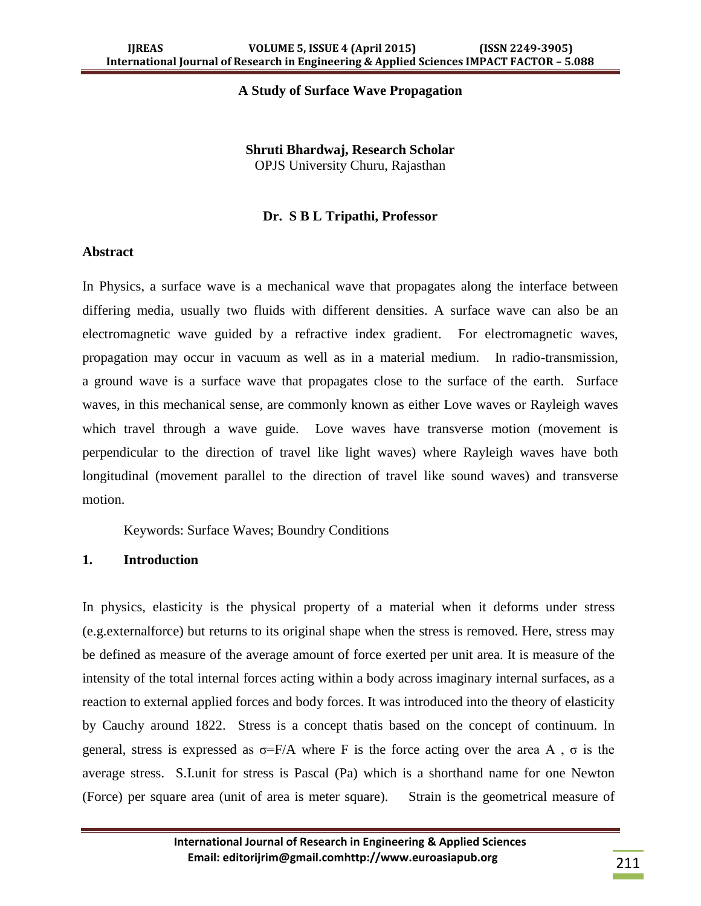## **A Study of Surface Wave Propagation**

**Shruti Bhardwaj, Research Scholar** OPJS University Churu, Rajasthan

## **Dr. S B L Tripathi, Professor**

## **Abstract**

In Physics, a surface wave is a mechanical wave that propagates along the interface between differing media, usually two fluids with different densities. A surface wave can also be an electromagnetic wave guided by a refractive index gradient. For electromagnetic waves, propagation may occur in vacuum as well as in a material medium. In radio-transmission, a ground wave is a surface wave that propagates close to the surface of the earth. Surface waves, in this mechanical sense, are commonly known as either Love waves or Rayleigh waves which travel through a wave guide. Love waves have transverse motion (movement is perpendicular to the direction of travel like light waves) where Rayleigh waves have both longitudinal (movement parallel to the direction of travel like sound waves) and transverse motion.

Keywords: Surface Waves; Boundry Conditions

## **1. Introduction**

In physics, elasticity is the physical property of a material when it deforms under stress (e.g.externalforce) but returns to its original shape when the stress is removed. Here, stress may be defined as measure of the average amount of force exerted per unit area. It is measure of the intensity of the total internal forces acting within a body across imaginary internal surfaces, as a reaction to external applied forces and body forces. It was introduced into the theory of elasticity by Cauchy around 1822. Stress is a concept thatis based on the concept of continuum. In general, stress is expressed as  $\sigma = F/A$  where F is the force acting over the area A,  $\sigma$  is the average stress. S.I.unit for stress is Pascal (Pa) which is a shorthand name for one Newton (Force) per square area (unit of area is meter square). Strain is the geometrical measure of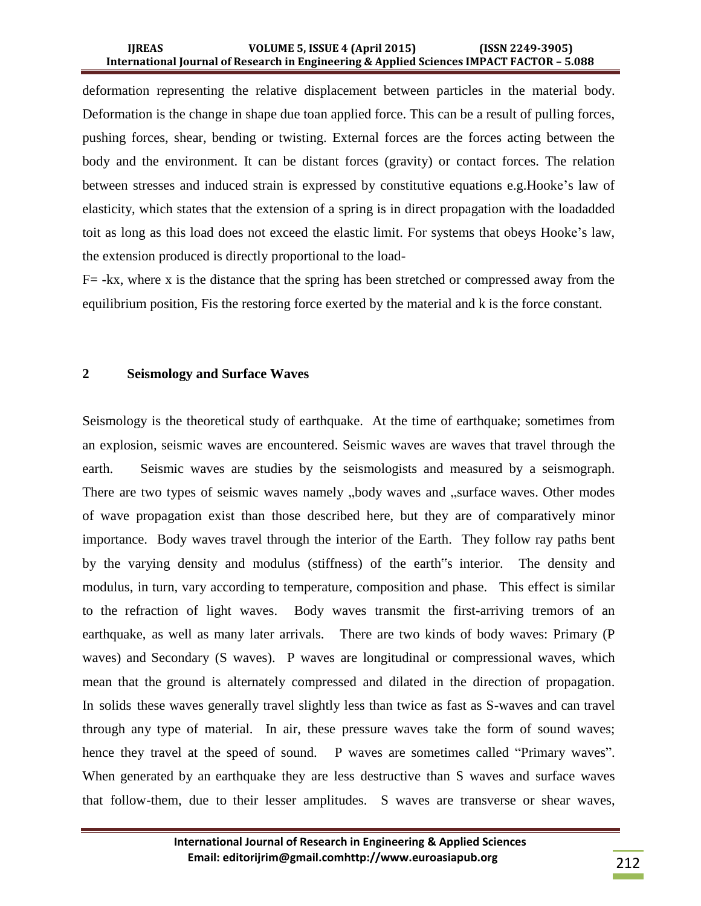#### **IJREAS VOLUME 5, ISSUE 4 (April 2015) (ISSN 2249-3905) International Journal of Research in Engineering & Applied Sciences IMPACT FACTOR – 5.088**

deformation representing the relative displacement between particles in the material body. Deformation is the change in shape due toan applied force. This can be a result of pulling forces, pushing forces, shear, bending or twisting. External forces are the forces acting between the body and the environment. It can be distant forces (gravity) or contact forces. The relation between stresses and induced strain is expressed by constitutive equations e.g.Hooke's law of elasticity, which states that the extension of a spring is in direct propagation with the loadadded toit as long as this load does not exceed the elastic limit. For systems that obeys Hooke's law, the extension produced is directly proportional to the load-

 $F = -kx$ , where x is the distance that the spring has been stretched or compressed away from the equilibrium position, Fis the restoring force exerted by the material and k is the force constant.

## **2 Seismology and Surface Waves**

Seismology is the theoretical study of earthquake. At the time of earthquake; sometimes from an explosion, seismic waves are encountered. Seismic waves are waves that travel through the earth. Seismic waves are studies by the seismologists and measured by a seismograph. There are two types of seismic waves namely "body waves and "surface waves. Other modes of wave propagation exist than those described here, but they are of comparatively minor importance. Body waves travel through the interior of the Earth. They follow ray paths bent by the varying density and modulus (stiffness) of the earth"s interior. The density and modulus, in turn, vary according to temperature, composition and phase. This effect is similar to the refraction of light waves. Body waves transmit the first-arriving tremors of an earthquake, as well as many later arrivals. There are two kinds of body waves: Primary (P waves) and Secondary (S waves). P waves are longitudinal or compressional waves, which mean that the ground is alternately compressed and dilated in the direction of propagation. In solids these waves generally travel slightly less than twice as fast as S-waves and can travel through any type of material. In air, these pressure waves take the form of sound waves; hence they travel at the speed of sound. P waves are sometimes called "Primary waves". When generated by an earthquake they are less destructive than S waves and surface waves that follow-them, due to their lesser amplitudes. S waves are transverse or shear waves,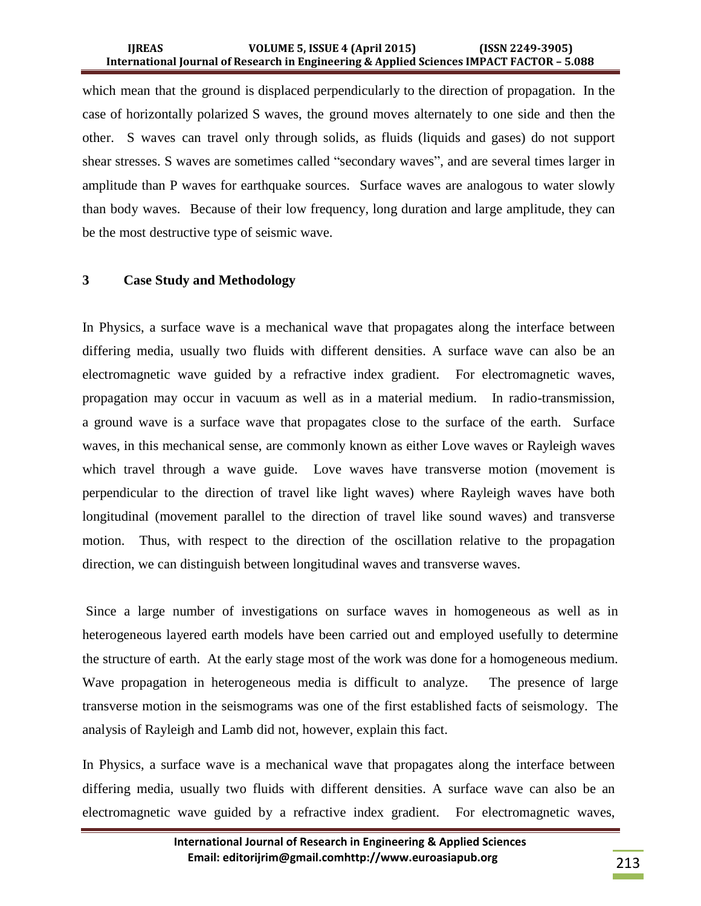#### **IJREAS VOLUME 5, ISSUE 4 (April 2015) (ISSN 2249-3905) International Journal of Research in Engineering & Applied Sciences IMPACT FACTOR – 5.088**

which mean that the ground is displaced perpendicularly to the direction of propagation. In the case of horizontally polarized S waves, the ground moves alternately to one side and then the other. S waves can travel only through solids, as fluids (liquids and gases) do not support shear stresses. S waves are sometimes called "secondary waves", and are several times larger in amplitude than P waves for earthquake sources. Surface waves are analogous to water slowly than body waves. Because of their low frequency, long duration and large amplitude, they can be the most destructive type of seismic wave.

# **3 Case Study and Methodology**

In Physics, a surface wave is a mechanical wave that propagates along the interface between differing media, usually two fluids with different densities. A surface wave can also be an electromagnetic wave guided by a refractive index gradient. For electromagnetic waves, propagation may occur in vacuum as well as in a material medium. In radio-transmission, a ground wave is a surface wave that propagates close to the surface of the earth. Surface waves, in this mechanical sense, are commonly known as either Love waves or Rayleigh waves which travel through a wave guide. Love waves have transverse motion (movement is perpendicular to the direction of travel like light waves) where Rayleigh waves have both longitudinal (movement parallel to the direction of travel like sound waves) and transverse motion. Thus, with respect to the direction of the oscillation relative to the propagation direction, we can distinguish between longitudinal waves and transverse waves.

Since a large number of investigations on surface waves in homogeneous as well as in heterogeneous layered earth models have been carried out and employed usefully to determine the structure of earth. At the early stage most of the work was done for a homogeneous medium. Wave propagation in heterogeneous media is difficult to analyze. The presence of large transverse motion in the seismograms was one of the first established facts of seismology. The analysis of Rayleigh and Lamb did not, however, explain this fact.

In Physics, a surface wave is a mechanical wave that propagates along the interface between differing media, usually two fluids with different densities. A surface wave can also be an electromagnetic wave guided by a refractive index gradient. For electromagnetic waves,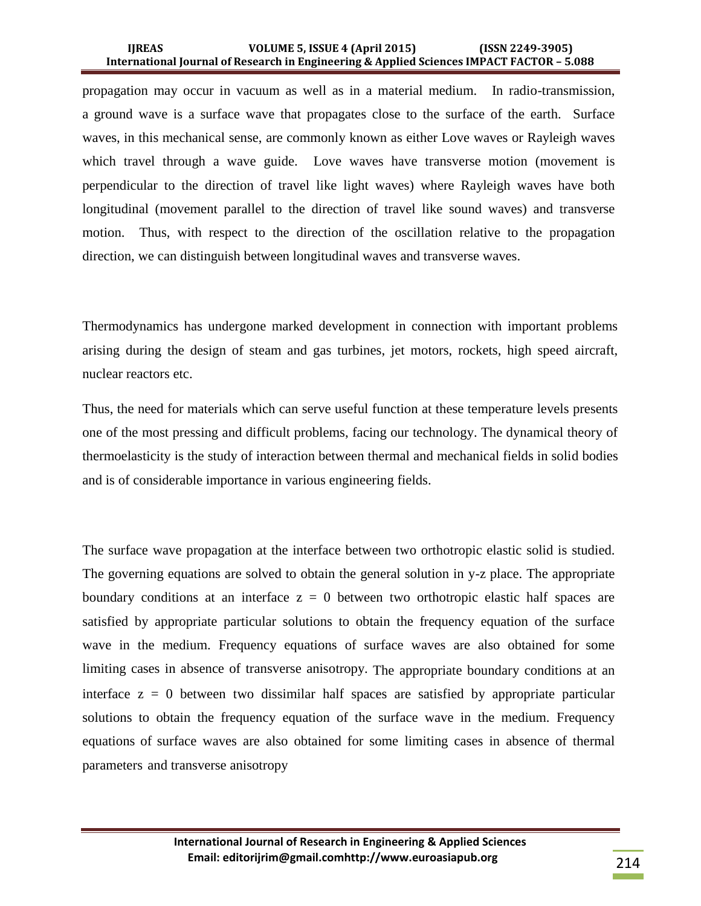#### **IJREAS VOLUME 5, ISSUE 4 (April 2015) (ISSN 2249-3905) International Journal of Research in Engineering & Applied Sciences IMPACT FACTOR – 5.088**

propagation may occur in vacuum as well as in a material medium. In radio-transmission, a ground wave is a surface wave that propagates close to the surface of the earth. Surface waves, in this mechanical sense, are commonly known as either Love waves or Rayleigh waves which travel through a wave guide. Love waves have transverse motion (movement is perpendicular to the direction of travel like light waves) where Rayleigh waves have both longitudinal (movement parallel to the direction of travel like sound waves) and transverse motion. Thus, with respect to the direction of the oscillation relative to the propagation direction, we can distinguish between longitudinal waves and transverse waves.

Thermodynamics has undergone marked development in connection with important problems arising during the design of steam and gas turbines, jet motors, rockets, high speed aircraft, nuclear reactors etc.

Thus, the need for materials which can serve useful function at these temperature levels presents one of the most pressing and difficult problems, facing our technology. The dynamical theory of thermoelasticity is the study of interaction between thermal and mechanical fields in solid bodies and is of considerable importance in various engineering fields.

The surface wave propagation at the interface between two orthotropic elastic solid is studied. The governing equations are solved to obtain the general solution in y-z place. The appropriate boundary conditions at an interface  $z = 0$  between two orthotropic elastic half spaces are satisfied by appropriate particular solutions to obtain the frequency equation of the surface wave in the medium. Frequency equations of surface waves are also obtained for some limiting cases in absence of transverse anisotropy. The appropriate boundary conditions at an interface  $z = 0$  between two dissimilar half spaces are satisfied by appropriate particular solutions to obtain the frequency equation of the surface wave in the medium. Frequency equations of surface waves are also obtained for some limiting cases in absence of thermal parameters and transverse anisotropy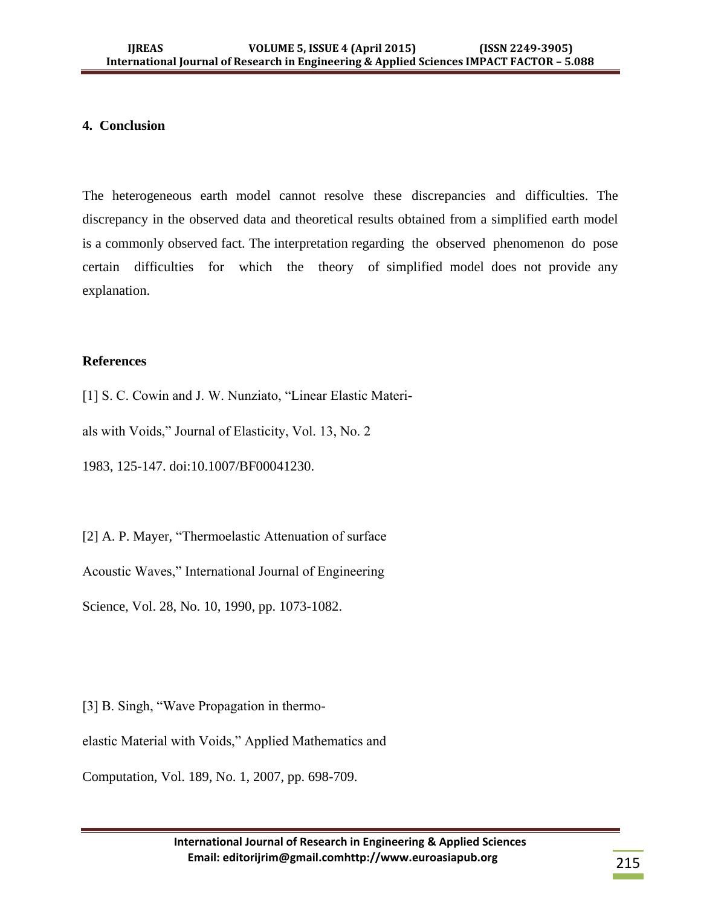# **4. Conclusion**

The heterogeneous earth model cannot resolve these discrepancies and difficulties. The discrepancy in the observed data and theoretical results obtained from a simplified earth model is a commonly observed fact. The interpretation regarding the observed phenomenon do pose certain difficulties for which the theory of simplified model does not provide any explanation.

# **References**

[1] S. C. Cowin and J. W. Nunziato, "Linear Elastic Materi-

als with Voids," Journal of Elasticity, Vol. 13, No. 2

1983, 125-147. doi:10.1007/BF00041230.

[2] A. P. Mayer, "Thermoelastic Attenuation of surface

Acoustic Waves," International Journal of Engineering

Science, Vol. 28, No. 10, 1990, pp. 1073-1082.

[3] B. Singh, "Wave Propagation in thermoelastic Material with Voids," Applied Mathematics and Computation, Vol. 189, No. 1, 2007, pp. 698-709.